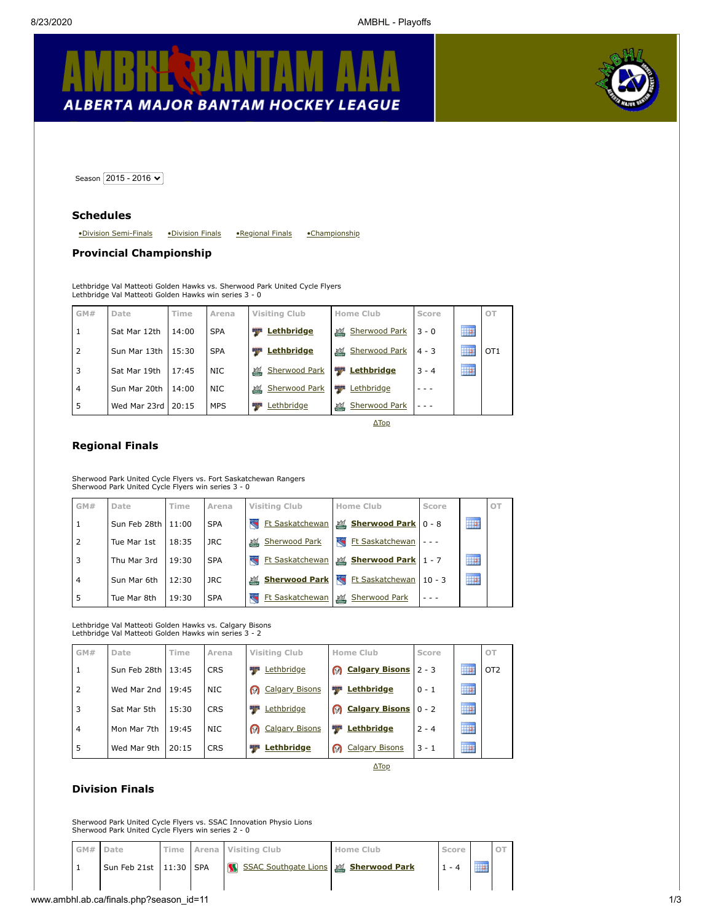# **ALBERTA MAJOR BANTAM HOCKEY LEAGUE**



<span id="page-0-3"></span>Season  $2015 - 2016$ 

### **Schedules**

<span id="page-0-2"></span>[•Division Semi-Finals](#page-1-0) [•Division Finals](#page-0-0) [•Regional Finals](#page-0-1) [•Championship](#page-0-2)

## **Provincial Championship**

Lethbridge Val Matteoti Golden Hawks vs. Sherwood Park United Cycle Flyers Lethbridge Val Matteoti Golden Hawks win series 3 - 0

|   | GM# | Date                 | Time  | Arena      | <b>Visiting Club</b>             | <b>Home Club</b>           | Score   |                         | OT              |
|---|-----|----------------------|-------|------------|----------------------------------|----------------------------|---------|-------------------------|-----------------|
|   |     | Sat Mar 12th         | 14:00 | <b>SPA</b> | <b>Lethbridge</b><br><b>Page</b> | <b>Sherwood Park</b><br>環  | $3 - 0$ | ----------<br>HP.       |                 |
| 2 |     | Sun Mar 13th         | 15:30 | <b>SPA</b> | <b>Lethbridge</b><br>ang pa      | 環<br><b>Sherwood Park</b>  | $4 - 3$ | ----------<br>HÞ        | OT <sub>1</sub> |
| 3 |     | Sat Mar 19th         | 17:45 | NIC.       | Sherwood Park                    | <b>DESPE</b><br>Lethbridge | $3 - 4$ | ---------<br><b>Tip</b> |                 |
| 4 |     | Sun Mar 20th         | 14:00 | NIC.       | Sherwood Park<br>環               | <b>Bang</b><br>Lethbridge  |         |                         |                 |
| 5 |     | Wed Mar 23rd   20:15 |       | <b>MPS</b> | Lethbridge                       | Sherwood Park<br>環         |         |                         |                 |

[ΔTop](#page-0-3)

### <span id="page-0-1"></span>**Regional Finals**

Sherwood Park United Cycle Flyers vs. Fort Saskatchewan Rangers Sherwood Park United Cycle Flyers win series 3 - 0

| GM#            | Date                 | Time  | Arena      | <b>Visiting Club</b>                               | Home Club                   | Score    |                  | OT |
|----------------|----------------------|-------|------------|----------------------------------------------------|-----------------------------|----------|------------------|----|
| 1              | Sun Feb 28th   11:00 |       | <b>SPA</b> | Ft Saskatchewan                                    | Sherwood Park 0 - 8         |          | ----------<br>ĦP |    |
| $\overline{2}$ | Tue Mar 1st          | 18:35 | JRC.       | <b>Sherwood Park</b><br>環                          | 氡<br><b>Ft Saskatchewan</b> |          |                  |    |
| 3              | Thu Mar 3rd          | 19:30 | <b>SPA</b> | Ft Saskatchewan                                    | Sherwood Park   1 - 7       |          | ---------<br>m   |    |
| $\overline{4}$ | Sun Mar 6th          | 12:30 | JRC.       | <b>Sherwood Park</b><br>環                          | <b>Ft Saskatchewan</b>      | $10 - 3$ | ----------<br>m  |    |
| 5              | Tue Mar 8th          | 19:30 | <b>SPA</b> | <b>Ft Saskatchewan</b><br>$\overline{\mathcal{L}}$ | 環<br>Sherwood Park          |          |                  |    |

Lethbridge Val Matteoti Golden Hawks vs. Calgary Bisons Lethbridge Val Matteoti Golden Hawks win series 3 - 2

| GM#            | Date         | Time  | Arena      | Visiting Club              | Home Club                       | Score   |                  | OT              |
|----------------|--------------|-------|------------|----------------------------|---------------------------------|---------|------------------|-----------------|
| 1              | Sun Feb 28th | 13:45 | <b>CRS</b> | 聖学<br>Lethbridge           | <b>Q</b> Calgary Bisons         | $2 - 3$ | ----------<br>₩  | OT <sub>2</sub> |
| 2              | Wed Mar 2nd  | 19:45 | NIC.       | <b>@</b> Calgary Bisons    | Lethbridge<br><b>Light</b>      | $0 - 1$ | <br>₩            |                 |
| 3              | Sat Mar 5th  | 15:30 | <b>CRS</b> | Lethbridge<br><b>SERVE</b> | <b>@</b> Calgary Bisons   0 - 2 |         | ----------<br>HP |                 |
| $\overline{4}$ | Mon Mar 7th  | 19:45 | NIC.       | Calgary Bisons             | <b>By the </b><br>Lethbridge    | $2 - 4$ | ----------<br>₩  |                 |
| 5              | Wed Mar 9th  | 20:15 | <b>CRS</b> | Lethbridge<br>uy ya        | Calgary Bisons                  | $3 - 1$ | ----------<br>₩  |                 |

[ΔTop](#page-0-3)

# <span id="page-0-0"></span>**Division Finals**

Sherwood Park United Cycle Flyers vs. SSAC Innovation Physio Lions Sherwood Park United Cycle Flyers win series 2 - 0

| GM# Date |                        |  | Time Arena Visiting Club             | Home Club | Score |  |
|----------|------------------------|--|--------------------------------------|-----------|-------|--|
|          | Sun Feb 21st 11:30 SPA |  | SSAC Southgate Lions & Sherwood Park |           |       |  |
|          |                        |  |                                      |           |       |  |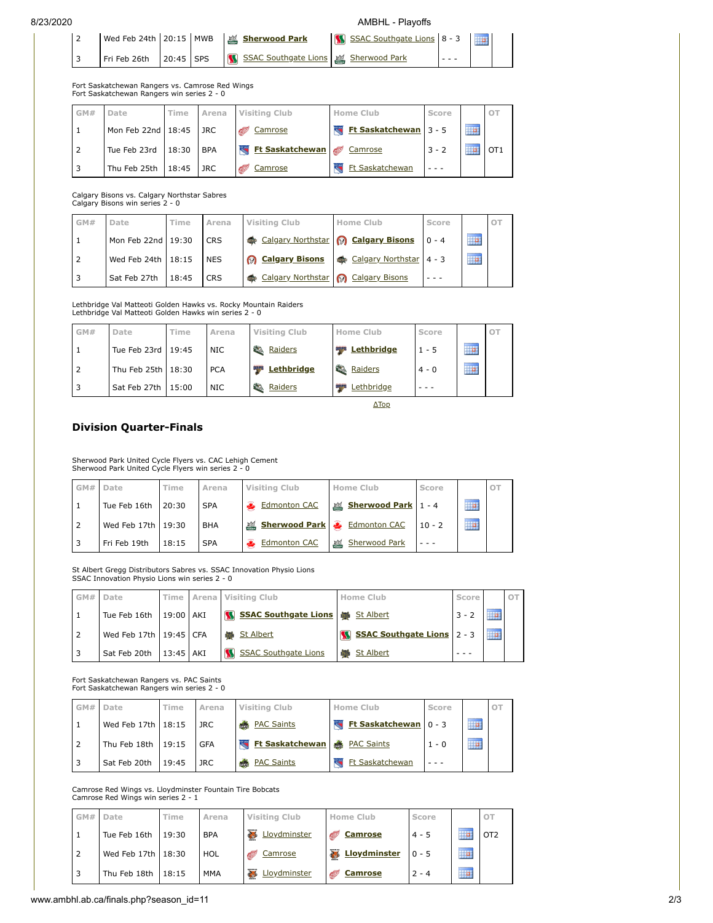### 8/23/2020 AMBHL - Playoffs

[ΔTop](#page-0-3)

|  |                               |  | Wed Feb 24th   20:15   MWB   2 Sherwood Park | SSAC Southgate Lions 8 - 3 |  |
|--|-------------------------------|--|----------------------------------------------|----------------------------|--|
|  | $Fri$ Feb 26th $\,$ 20:45 SPS |  | SSAC Southgate Lions Sherwood Park           |                            |  |

Fort Saskatchewan Rangers vs. Camrose Red Wings Fort Saskatchewan Rangers win series 2 - 0

| GM# | Date                     | Time  | Arena      | <b>Visiting Club</b>   | Home Club             | Score   |                   | OT. |
|-----|--------------------------|-------|------------|------------------------|-----------------------|---------|-------------------|-----|
|     | Mon Feb 22nd 18:45       |       | <b>JRC</b> | Camrose                | Ft Saskatchewan 3 - 5 |         | ----------<br>HP. |     |
|     | Tue Feb 23rd             | 18:30 | <b>BPA</b> | <b>Et Saskatchewan</b> | Camrose               | $3 - 2$ | ----------        | OT1 |
|     | Thu Feb $25th$   $18:45$ |       | <b>JRC</b> | Camrose                | Ft Saskatchewan       |         |                   |     |

Calgary Bisons vs. Calgary Northstar Sabres Calgary Bisons win series 2 - 0

| GM# | Date               | Time  | Arena      | Visiting Club                      | Home Club               | Score   |                    | OT |
|-----|--------------------|-------|------------|------------------------------------|-------------------------|---------|--------------------|----|
|     | Mon Feb 22nd 19:30 |       | <b>CRS</b> | Calgary Northstar & Calgary Bisons |                         | $0 - 4$ | 11111111111<br>胛   |    |
|     | Wed Feb 24th 18:15 |       | <b>NES</b> | <b>8</b> Calgary Bisons            | Calgary Northstar 4 - 3 |         | 11111111111<br>II. |    |
|     | Sat Feb 27th       | 18:45 | <b>CRS</b> | Calgary Northstar                  | <b>Calgary Bisons</b>   |         |                    |    |

Lethbridge Val Matteoti Golden Hawks vs. Rocky Mountain Raiders Lethbridge Val Matteoti Golden Hawks win series 2 - 0

| GM# | Date                 | Time | Arena      | <b>Visiting Club</b>  | Home Club         | Score   |                  |  |
|-----|----------------------|------|------------|-----------------------|-------------------|---------|------------------|--|
|     | Tue Feb 23rd   19:45 |      | <b>NIC</b> | 移<br>Raiders          | <b>Lethbridge</b> | $1 - 5$ | ,,,,,,,,,,,<br>▦ |  |
|     | Thu Feb 25th 18:30   |      | <b>PCA</b> | <b>Lethbridge</b>     | Raiders           | $4 - 0$ | ---------<br>₩   |  |
|     | Sat Feb 27th 15:00   |      | <b>NIC</b> | <b>SEA</b><br>Raiders | Lethbridge        |         |                  |  |

<span id="page-1-0"></span>**Division Quarter-Finals**

Sherwood Park United Cycle Flyers vs. CAC Lehigh Cement Sherwood Park United Cycle Flyers win series 2 - 0

|  | GM# Date             | Time  | Arena      | <b>Visiting Club</b>         | Home Club             | Score    |                     |  |
|--|----------------------|-------|------------|------------------------------|-----------------------|----------|---------------------|--|
|  | Tue Feb 16th   20:30 |       | <b>SPA</b> | Edmonton CAC                 | L Sherwood Park 1 - 4 |          | .<br>HP.            |  |
|  | Wed Feb 17th   19:30 |       | <b>BHA</b> | Sherwood Park & Edmonton CAC |                       | $10 - 2$ | ----------<br>ilia. |  |
|  | Fri Feb 19th         | 18:15 | <b>SPA</b> | <b>Edmonton CAC</b>          | Sherwood Park         |          |                     |  |

St Albert Gregg Distributors Sabres vs. SSAC Innovation Physio Lions SSAC Innovation Physio Lions win series 2 - 0

| GM# | Date                       |           | Time Arena Visiting Club                    |  | <b>Home Club</b>           | Score   |           | O <sup>T</sup> |
|-----|----------------------------|-----------|---------------------------------------------|--|----------------------------|---------|-----------|----------------|
|     | Tue Feb 16th   19:00   AKI |           | <b>SSAC Southgate Lions &amp; St Albert</b> |  |                            | $3 - 2$ |           |                |
|     | Wed Feb 17th 19:45 CFA     |           | <b>峰 St Albert</b>                          |  | SSAC Southgate Lions 2 - 3 |         | --------- |                |
|     | Sat Feb 20th               | 13:45 AKI | SSAC Southgate Lions                        |  | <b>St Albert</b>           |         |           |                |

Fort Saskatchewan Rangers vs. PAC Saints Fort Saskatchewan Rangers win series 2 - 0

| GM# | Date                 | Time  | Arena      | Visiting Club                | Home Club             | Score   |                   | OT |
|-----|----------------------|-------|------------|------------------------------|-----------------------|---------|-------------------|----|
|     | Wed Feb 17th   18:15 |       | JRC        | <b>BEAC</b> Saints           | Ft Saskatchewan 0 - 3 |         | 1111111111<br>HP. |    |
|     | Thu Feb 18th   19:15 |       | <b>GFA</b> | Ft Saskatchewan & PAC Saints |                       | $1 - 0$ | 1111111111<br>HP  |    |
|     | Sat Feb 20th         | 19:45 | JRC        | <b>&amp; PAC Saints</b>      | Ft Saskatchewan       |         |                   |    |

Camrose Red Wings vs. Lloydminster Fountain Tire Bobcats Camrose Red Wings win series 2 - 1

| GM# | Date                 | Time  | Arena      | Visiting Club | Home Club      | Score    |                        |                 |
|-----|----------------------|-------|------------|---------------|----------------|----------|------------------------|-----------------|
|     | Tue Feb 16th         | 19:30 | <b>BPA</b> | Lloydminster  | <b>Camrose</b> | $4 - 5$  | ----------             | OT <sub>2</sub> |
|     | Wed Feb 17th   18:30 |       | HOL        | Camrose<br>Œ  | & Lloydminster | $10 - 5$ | ---------<br><u>ia</u> |                 |
|     | Thu Feb 18th         | 18:15 | <b>MMA</b> | Lloydminster  | <b>Camrose</b> | $2 - 4$  | ---------<br><b>II</b> |                 |